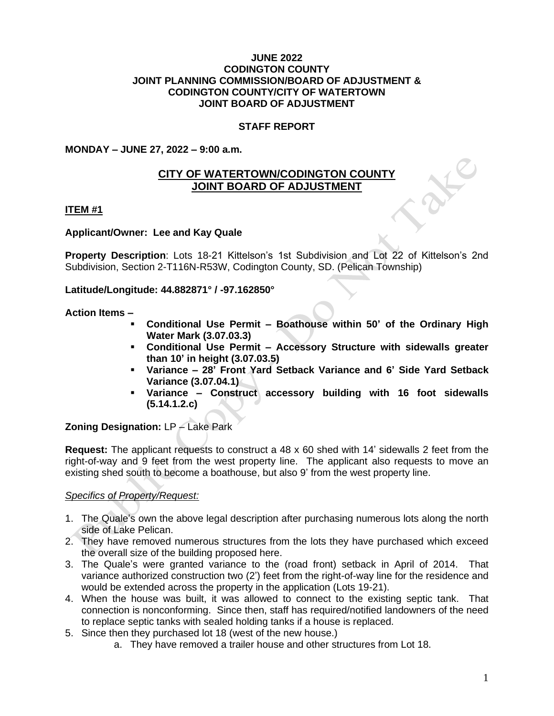#### **JUNE 2022 CODINGTON COUNTY JOINT PLANNING COMMISSION/BOARD OF ADJUSTMENT & CODINGTON COUNTY/CITY OF WATERTOWN JOINT BOARD OF ADJUSTMENT**

## **STAFF REPORT**

## **MONDAY – JUNE 27, 2022 – 9:00 a.m.**

# **CITY OF WATERTOWN/CODINGTON COUNTY JOINT BOARD OF ADJUSTMENT**

### **ITEM #1**

### **Applicant/Owner: Lee and Kay Quale**

**Property Description**: Lots 18-21 Kittelson's 1st Subdivision and Lot 22 of Kittelson's 2nd Subdivision, Section 2-T116N-R53W, Codington County, SD. (Pelican Township)

**Latitude/Longitude: 44.882871° / -97.162850°**

### **Action Items –**

- **Conditional Use Permit – Boathouse within 50' of the Ordinary High Water Mark (3.07.03.3)**
- **Conditional Use Permit – Accessory Structure with sidewalls greater than 10' in height (3.07.03.5)**
- **Variance – 28' Front Yard Setback Variance and 6' Side Yard Setback Variance (3.07.04.1)**
- **Variance – Construct accessory building with 16 foot sidewalls (5.14.1.2.c)**

## **Zoning Designation:** LP – Lake Park

**Request:** The applicant requests to construct a 48 x 60 shed with 14' sidewalls 2 feet from the right-of-way and 9 feet from the west property line. The applicant also requests to move an existing shed south to become a boathouse, but also 9' from the west property line.

## *Specifics of Property/Request:*

- 1. The Quale's own the above legal description after purchasing numerous lots along the north side of Lake Pelican.
- 2. They have removed numerous structures from the lots they have purchased which exceed the overall size of the building proposed here.
- 3. The Quale's were granted variance to the (road front) setback in April of 2014. That variance authorized construction two (2') feet from the right-of-way line for the residence and would be extended across the property in the application (Lots 19-21).
- 4. When the house was built, it was allowed to connect to the existing septic tank. That connection is nonconforming. Since then, staff has required/notified landowners of the need to replace septic tanks with sealed holding tanks if a house is replaced.
- 5. Since then they purchased lot 18 (west of the new house.)
	- a. They have removed a trailer house and other structures from Lot 18.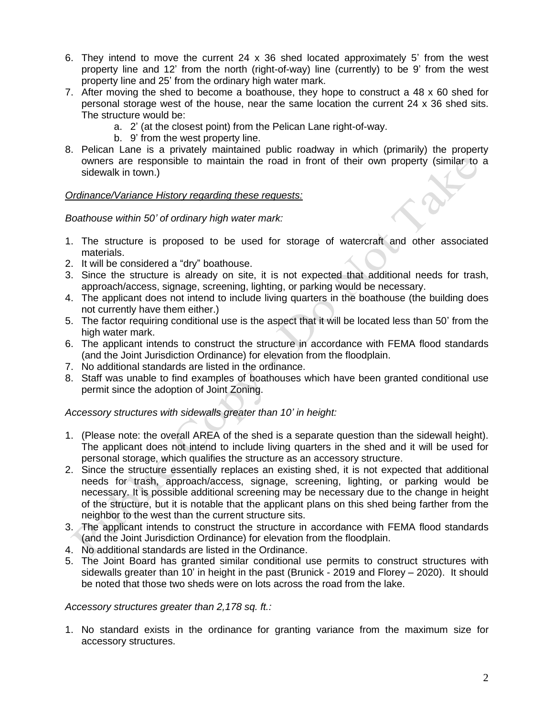- 6. They intend to move the current 24 x 36 shed located approximately 5' from the west property line and 12' from the north (right-of-way) line (currently) to be 9' from the west property line and 25' from the ordinary high water mark.
- 7. After moving the shed to become a boathouse, they hope to construct a 48 x 60 shed for personal storage west of the house, near the same location the current 24 x 36 shed sits. The structure would be:
	- a. 2' (at the closest point) from the Pelican Lane right-of-way.
	- b. 9' from the west property line.
- 8. Pelican Lane is a privately maintained public roadway in which (primarily) the property owners are responsible to maintain the road in front of their own property (similar to a sidewalk in town.)

## *Ordinance/Variance History regarding these requests:*

## *Boathouse within 50' of ordinary high water mark:*

- 1. The structure is proposed to be used for storage of watercraft and other associated materials.
- 2. It will be considered a "dry" boathouse.
- 3. Since the structure is already on site, it is not expected that additional needs for trash, approach/access, signage, screening, lighting, or parking would be necessary.
- 4. The applicant does not intend to include living quarters in the boathouse (the building does not currently have them either.)
- 5. The factor requiring conditional use is the aspect that it will be located less than 50' from the high water mark.
- 6. The applicant intends to construct the structure in accordance with FEMA flood standards (and the Joint Jurisdiction Ordinance) for elevation from the floodplain.
- 7. No additional standards are listed in the ordinance.
- 8. Staff was unable to find examples of boathouses which have been granted conditional use permit since the adoption of Joint Zoning.

## *Accessory structures with sidewalls greater than 10' in height:*

- 1. (Please note: the overall AREA of the shed is a separate question than the sidewall height). The applicant does not intend to include living quarters in the shed and it will be used for personal storage, which qualifies the structure as an accessory structure.
- 2. Since the structure essentially replaces an existing shed, it is not expected that additional needs for trash, approach/access, signage, screening, lighting, or parking would be necessary. It is possible additional screening may be necessary due to the change in height of the structure, but it is notable that the applicant plans on this shed being farther from the neighbor to the west than the current structure sits.
- 3. The applicant intends to construct the structure in accordance with FEMA flood standards (and the Joint Jurisdiction Ordinance) for elevation from the floodplain.
- 4. No additional standards are listed in the Ordinance.
- 5. The Joint Board has granted similar conditional use permits to construct structures with sidewalls greater than 10' in height in the past (Brunick - 2019 and Florey – 2020). It should be noted that those two sheds were on lots across the road from the lake.

*Accessory structures greater than 2,178 sq. ft.:*

1. No standard exists in the ordinance for granting variance from the maximum size for accessory structures.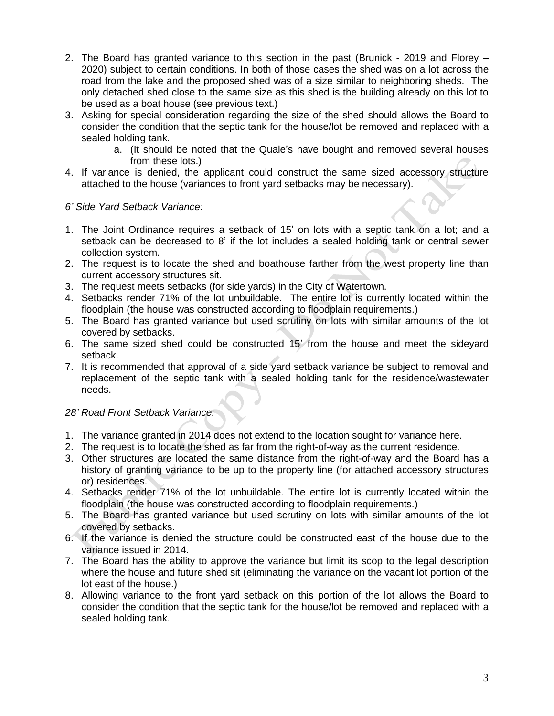- 2. The Board has granted variance to this section in the past (Brunick 2019 and Florey 2020) subject to certain conditions. In both of those cases the shed was on a lot across the road from the lake and the proposed shed was of a size similar to neighboring sheds. The only detached shed close to the same size as this shed is the building already on this lot to be used as a boat house (see previous text.)
- 3. Asking for special consideration regarding the size of the shed should allows the Board to consider the condition that the septic tank for the house/lot be removed and replaced with a sealed holding tank.
	- a. (It should be noted that the Quale's have bought and removed several houses from these lots.)
- 4. If variance is denied, the applicant could construct the same sized accessory structure attached to the house (variances to front yard setbacks may be necessary).

## *6' Side Yard Setback Variance:*

- 1. The Joint Ordinance requires a setback of 15' on lots with a septic tank on a lot; and a setback can be decreased to 8' if the lot includes a sealed holding tank or central sewer collection system.
- 2. The request is to locate the shed and boathouse farther from the west property line than current accessory structures sit.
- 3. The request meets setbacks (for side yards) in the City of Watertown.
- 4. Setbacks render 71% of the lot unbuildable. The entire lot is currently located within the floodplain (the house was constructed according to floodplain requirements.)
- 5. The Board has granted variance but used scrutiny on lots with similar amounts of the lot covered by setbacks.
- 6. The same sized shed could be constructed 15' from the house and meet the sideyard setback.
- 7. It is recommended that approval of a side yard setback variance be subject to removal and replacement of the septic tank with a sealed holding tank for the residence/wastewater needs.

# *28' Road Front Setback Variance:*

- 1. The variance granted in 2014 does not extend to the location sought for variance here.
- 2. The request is to locate the shed as far from the right-of-way as the current residence.
- 3. Other structures are located the same distance from the right-of-way and the Board has a history of granting variance to be up to the property line (for attached accessory structures or) residences.
- 4. Setbacks render 71% of the lot unbuildable. The entire lot is currently located within the floodplain (the house was constructed according to floodplain requirements.)
- 5. The Board has granted variance but used scrutiny on lots with similar amounts of the lot covered by setbacks.
- 6. If the variance is denied the structure could be constructed east of the house due to the variance issued in 2014.
- 7. The Board has the ability to approve the variance but limit its scop to the legal description where the house and future shed sit (eliminating the variance on the vacant lot portion of the lot east of the house.)
- 8. Allowing variance to the front yard setback on this portion of the lot allows the Board to consider the condition that the septic tank for the house/lot be removed and replaced with a sealed holding tank.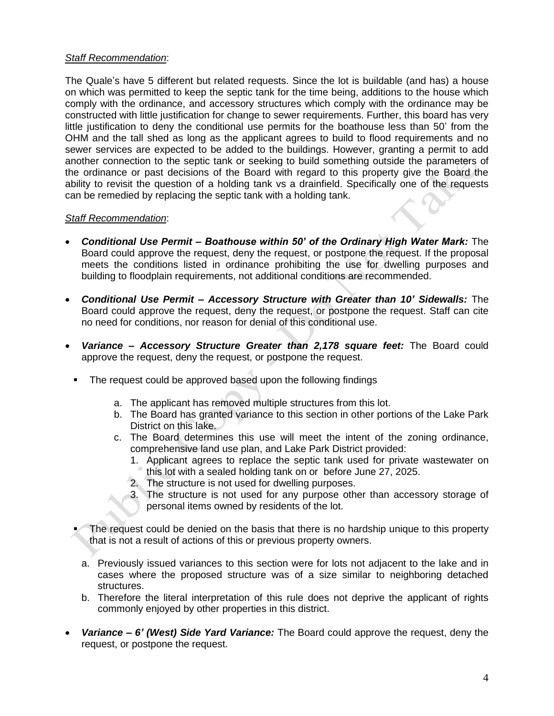### *Staff Recommendation*:

The Quale's have 5 different but related requests. Since the lot is buildable (and has) a house on which was permitted to keep the septic tank for the time being, additions to the house which comply with the ordinance, and accessory structures which comply with the ordinance may be constructed with little justification for change to sewer requirements. Further, this board has very little justification to deny the conditional use permits for the boathouse less than 50' from the OHM and the tall shed as long as the applicant agrees to build to flood requirements and no sewer services are expected to be added to the buildings. However, granting a permit to add another connection to the septic tank or seeking to build something outside the parameters of the ordinance or past decisions of the Board with regard to this property give the Board the ability to revisit the question of a holding tank vs a drainfield. Specifically one of the requests can be remedied by replacing the septic tank with a holding tank.

### *Staff Recommendation*:

- *Conditional Use Permit – Boathouse within 50' of the Ordinary High Water Mark:* The Board could approve the request, deny the request, or postpone the request. If the proposal meets the conditions listed in ordinance prohibiting the use for dwelling purposes and building to floodplain requirements, not additional conditions are recommended.
- *Conditional Use Permit – Accessory Structure with Greater than 10' Sidewalls:* The Board could approve the request, deny the request, or postpone the request. Staff can cite no need for conditions, nor reason for denial of this conditional use.
- *Variance – Accessory Structure Greater than 2,178 square feet:* The Board could approve the request, deny the request, or postpone the request.
	- The request could be approved based upon the following findings
		- a. The applicant has removed multiple structures from this lot.
		- b. The Board has granted variance to this section in other portions of the Lake Park District on this lake.
		- c. The Board determines this use will meet the intent of the zoning ordinance, comprehensive land use plan, and Lake Park District provided:
			- 1. Applicant agrees to replace the septic tank used for private wastewater on this lot with a sealed holding tank on or before June 27, 2025.
			- 2. The structure is not used for dwelling purposes.
			- 3. The structure is not used for any purpose other than accessory storage of personal items owned by residents of the lot.
	- The request could be denied on the basis that there is no hardship unique to this property that is not a result of actions of this or previous property owners.
		- a. Previously issued variances to this section were for lots not adjacent to the lake and in cases where the proposed structure was of a size similar to neighboring detached structures.
		- b. Therefore the literal interpretation of this rule does not deprive the applicant of rights commonly enjoyed by other properties in this district.
- *Variance – 6' (West) Side Yard Variance:* The Board could approve the request, deny the request, or postpone the request.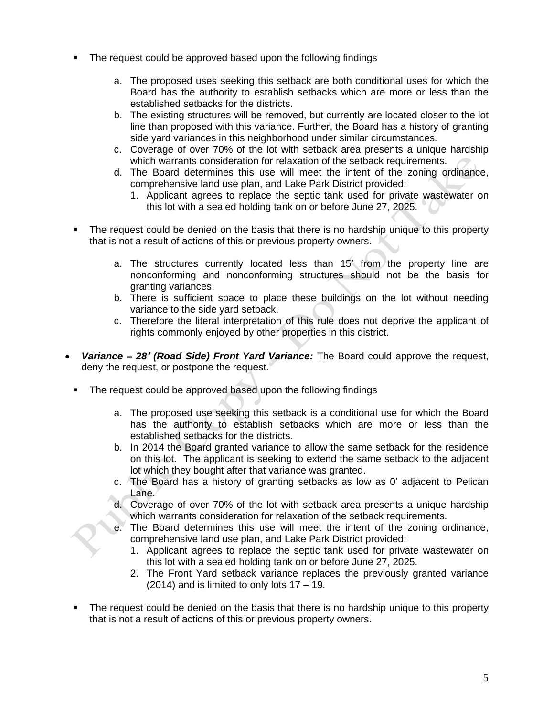- The request could be approved based upon the following findings
	- a. The proposed uses seeking this setback are both conditional uses for which the Board has the authority to establish setbacks which are more or less than the established setbacks for the districts.
	- b. The existing structures will be removed, but currently are located closer to the lot line than proposed with this variance. Further, the Board has a history of granting side yard variances in this neighborhood under similar circumstances.
	- c. Coverage of over 70% of the lot with setback area presents a unique hardship which warrants consideration for relaxation of the setback requirements.
	- d. The Board determines this use will meet the intent of the zoning ordinance, comprehensive land use plan, and Lake Park District provided:
		- 1. Applicant agrees to replace the septic tank used for private wastewater on this lot with a sealed holding tank on or before June 27, 2025.
- The request could be denied on the basis that there is no hardship unique to this property that is not a result of actions of this or previous property owners.
	- a. The structures currently located less than 15' from the property line are nonconforming and nonconforming structures should not be the basis for granting variances.
	- b. There is sufficient space to place these buildings on the lot without needing variance to the side yard setback.
	- c. Therefore the literal interpretation of this rule does not deprive the applicant of rights commonly enjoyed by other properties in this district.
- *Variance – 28' (Road Side) Front Yard Variance:* The Board could approve the request, deny the request, or postpone the request.
	- **The request could be approved based upon the following findings** 
		- a. The proposed use seeking this setback is a conditional use for which the Board has the authority to establish setbacks which are more or less than the established setbacks for the districts.
		- b. In 2014 the Board granted variance to allow the same setback for the residence on this lot. The applicant is seeking to extend the same setback to the adjacent lot which they bought after that variance was granted.
		- c. The Board has a history of granting setbacks as low as 0' adjacent to Pelican Lane.
		- d. Coverage of over 70% of the lot with setback area presents a unique hardship which warrants consideration for relaxation of the setback requirements.
		- e. The Board determines this use will meet the intent of the zoning ordinance, comprehensive land use plan, and Lake Park District provided:
			- 1. Applicant agrees to replace the septic tank used for private wastewater on this lot with a sealed holding tank on or before June 27, 2025.
			- 2. The Front Yard setback variance replaces the previously granted variance  $(2014)$  and is limited to only lots  $17 - 19$ .
	- The request could be denied on the basis that there is no hardship unique to this property that is not a result of actions of this or previous property owners.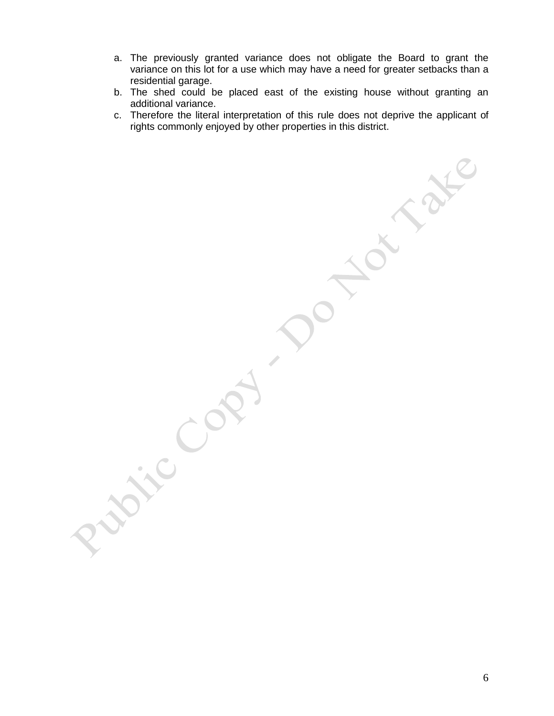- a. The previously granted variance does not obligate the Board to grant the variance on this lot for a use which may have a need for greater setbacks than a residential garage.
- b. The shed could be placed east of the existing house without granting an additional variance.
- c. Therefore the literal interpretation of this rule does not deprive the applicant of rights commonly enjoyed by other properties in this district.

 $\hat{\phantom{a}}$ 

6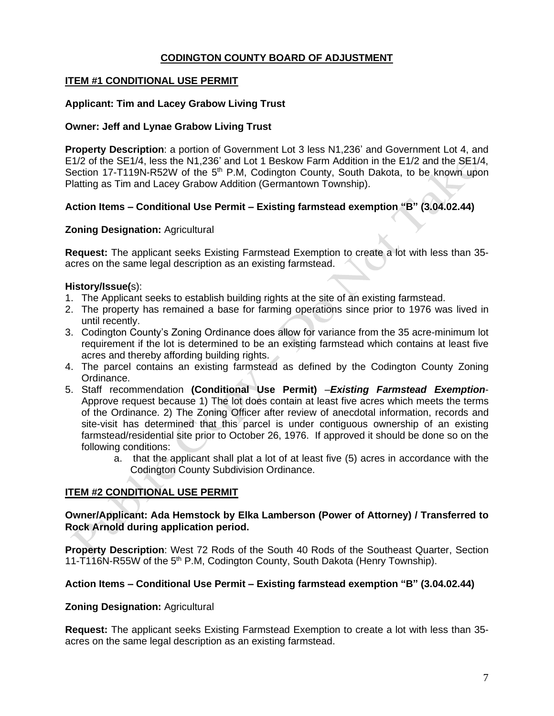## **CODINGTON COUNTY BOARD OF ADJUSTMENT**

## **ITEM #1 CONDITIONAL USE PERMIT**

### **Applicant: Tim and Lacey Grabow Living Trust**

#### **Owner: Jeff and Lynae Grabow Living Trust**

**Property Description**: a portion of Government Lot 3 less N1,236' and Government Lot 4, and E1/2 of the SE1/4, less the N1,236' and Lot 1 Beskow Farm Addition in the E1/2 and the SE1/4, Section 17-T119N-R52W of the 5<sup>th</sup> P.M, Codington County, South Dakota, to be known upon Platting as Tim and Lacey Grabow Addition (Germantown Township).

## **Action Items – Conditional Use Permit – Existing farmstead exemption "B" (3.04.02.44)**

### **Zoning Designation:** Agricultural

**Request:** The applicant seeks Existing Farmstead Exemption to create a lot with less than 35 acres on the same legal description as an existing farmstead.

### **History/Issue(**s):

- 1. The Applicant seeks to establish building rights at the site of an existing farmstead.
- 2. The property has remained a base for farming operations since prior to 1976 was lived in until recently.
- 3. Codington County's Zoning Ordinance does allow for variance from the 35 acre-minimum lot requirement if the lot is determined to be an existing farmstead which contains at least five acres and thereby affording building rights.
- 4. The parcel contains an existing farmstead as defined by the Codington County Zoning Ordinance.
- 5. Staff recommendation **(Conditional Use Permit)** –*Existing Farmstead Exemption*-Approve request because 1) The lot does contain at least five acres which meets the terms of the Ordinance. 2) The Zoning Officer after review of anecdotal information, records and site-visit has determined that this parcel is under contiguous ownership of an existing farmstead/residential site prior to October 26, 1976. If approved it should be done so on the following conditions:
	- a. that the applicant shall plat a lot of at least five (5) acres in accordance with the Codington County Subdivision Ordinance.

## **ITEM #2 CONDITIONAL USE PERMIT**

### **Owner/Applicant: Ada Hemstock by Elka Lamberson (Power of Attorney) / Transferred to Rock Arnold during application period.**

**Property Description**: West 72 Rods of the South 40 Rods of the Southeast Quarter, Section 11-T116N-R55W of the 5<sup>th</sup> P.M, Codington County, South Dakota (Henry Township).

## **Action Items – Conditional Use Permit – Existing farmstead exemption "B" (3.04.02.44)**

#### **Zoning Designation:** Agricultural

**Request:** The applicant seeks Existing Farmstead Exemption to create a lot with less than 35 acres on the same legal description as an existing farmstead.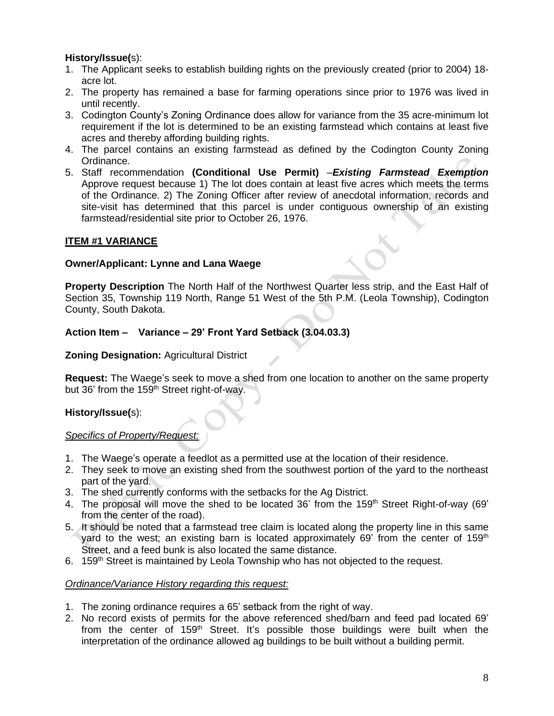# **History/Issue(**s):

- 1. The Applicant seeks to establish building rights on the previously created (prior to 2004) 18 acre lot.
- 2. The property has remained a base for farming operations since prior to 1976 was lived in until recently.
- 3. Codington County's Zoning Ordinance does allow for variance from the 35 acre-minimum lot requirement if the lot is determined to be an existing farmstead which contains at least five acres and thereby affording building rights.
- 4. The parcel contains an existing farmstead as defined by the Codington County Zoning Ordinance.
- 5. Staff recommendation **(Conditional Use Permit)** –*Existing Farmstead Exemption*  Approve request because 1) The lot does contain at least five acres which meets the terms of the Ordinance. 2) The Zoning Officer after review of anecdotal information, records and site-visit has determined that this parcel is under contiguous ownership of an existing farmstead/residential site prior to October 26, 1976.

# **ITEM #1 VARIANCE**

## **Owner/Applicant: Lynne and Lana Waege**

**Property Description** The North Half of the Northwest Quarter less strip, and the East Half of Section 35, Township 119 North, Range 51 West of the 5th P.M. (Leola Township), Codington County, South Dakota.

# **Action Item – Variance – 29' Front Yard Setback (3.04.03.3)**

## **Zoning Designation:** Agricultural District

**Request:** The Waege's seek to move a shed from one location to another on the same property but 36' from the 159<sup>th</sup> Street right-of-way.

# **History/Issue(**s):

## *Specifics of Property/Request:*

- 1. The Waege's operate a feedlot as a permitted use at the location of their residence.
- 2. They seek to move an existing shed from the southwest portion of the yard to the northeast part of the yard.
- 3. The shed currently conforms with the setbacks for the Ag District.
- 4. The proposal will move the shed to be located 36' from the 159<sup>th</sup> Street Right-of-way (69' from the center of the road).
- 5. It should be noted that a farmstead tree claim is located along the property line in this same yard to the west; an existing barn is located approximately 69' from the center of 159<sup>th</sup> Street, and a feed bunk is also located the same distance.
- 6. 159th Street is maintained by Leola Township who has not objected to the request.

# *Ordinance/Variance History regarding this request:*

- 1. The zoning ordinance requires a 65' setback from the right of way.
- 2. No record exists of permits for the above referenced shed/barn and feed pad located 69' from the center of 159<sup>th</sup> Street. It's possible those buildings were built when the interpretation of the ordinance allowed ag buildings to be built without a building permit.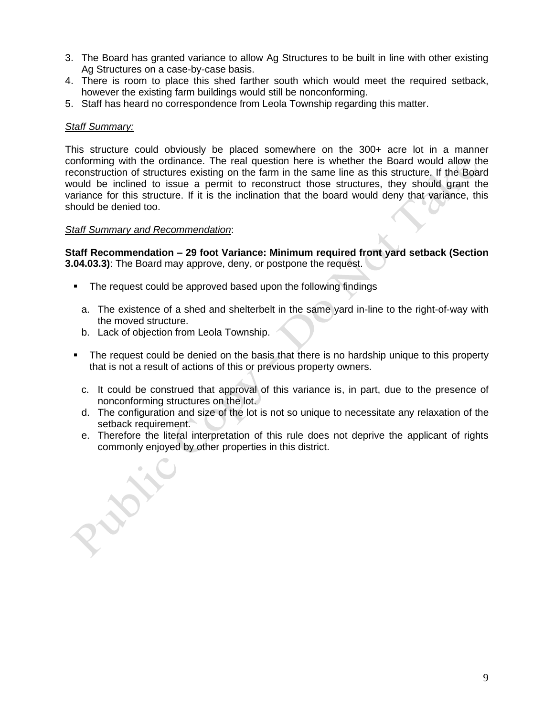- 3. The Board has granted variance to allow Ag Structures to be built in line with other existing Ag Structures on a case-by-case basis.
- 4. There is room to place this shed farther south which would meet the required setback, however the existing farm buildings would still be nonconforming.
- 5. Staff has heard no correspondence from Leola Township regarding this matter.

## *Staff Summary:*

This structure could obviously be placed somewhere on the 300+ acre lot in a manner conforming with the ordinance. The real question here is whether the Board would allow the reconstruction of structures existing on the farm in the same line as this structure. If the Board would be inclined to issue a permit to reconstruct those structures, they should grant the variance for this structure. If it is the inclination that the board would deny that variance, this should be denied too.

## *Staff Summary and Recommendation*:

**Staff Recommendation – 29 foot Variance: Minimum required front yard setback (Section 3.04.03.3)**: The Board may approve, deny, or postpone the request.

- The request could be approved based upon the following findings
	- a. The existence of a shed and shelterbelt in the same yard in-line to the right-of-way with the moved structure.
	- b. Lack of objection from Leola Township.
- **The request could be denied on the basis that there is no hardship unique to this property** that is not a result of actions of this or previous property owners.
	- c. It could be construed that approval of this variance is, in part, due to the presence of nonconforming structures on the lot.
	- d. The configuration and size of the lot is not so unique to necessitate any relaxation of the setback requirement.
	- e. Therefore the literal interpretation of this rule does not deprive the applicant of rights commonly enjoyed by other properties in this district.